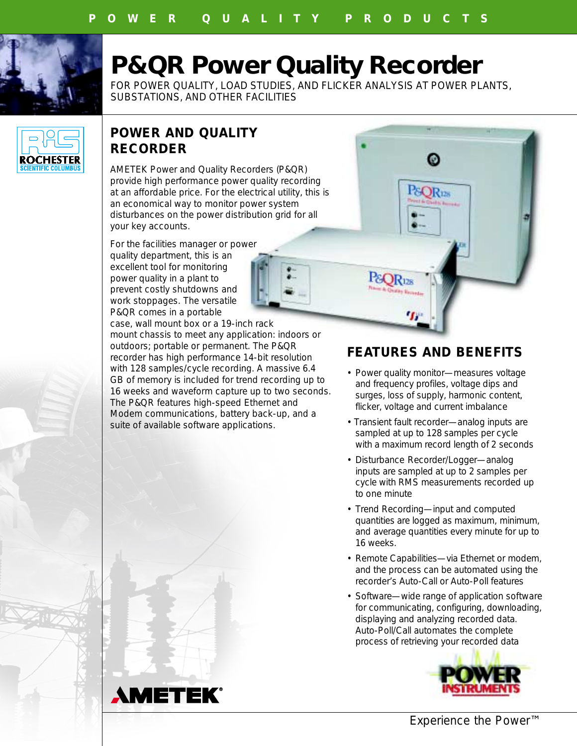

# **P&QR Power Quality Recorder**

FOR POWER QUALITY, LOAD STUDIES, AND FLICKER ANALYSIS AT POWER PLANTS, SUBSTATIONS, AND OTHER FACILITIES



## **POWER AND QUALITY RECORDER**

AMETEK Power and Quality Recorders (P&QR) provide high performance power quality recording at an affordable price. For the electrical utility, this is an economical way to monitor power system disturbances on the power distribution grid for all your key accounts.

For the facilities manager or power quality department, this is an excellent tool for monitoring power quality in a plant to prevent costly shutdowns and work stoppages. The versatile P&QR comes in a portable

case, wall mount box or a 19-inch rack mount chassis to meet any application: indoors or outdoors; portable or permanent. The P&QR recorder has high performance 14-bit resolution with 128 samples/cycle recording. A massive 6.4 GB of memory is included for trend recording up to 16 weeks and waveform capture up to two seconds. The P&QR features high-speed Ethernet and Modem communications, battery back-up, and a suite of available software applications.

### **FEATURES AND BENEFITS**

⋒

&OR<sub>128</sub>

&OR<sub>128</sub>

- Power quality monitor—measures voltage and frequency profiles, voltage dips and surges, loss of supply, harmonic content, flicker, voltage and current imbalance
- Transient fault recorder—analog inputs are sampled at up to 128 samples per cycle with a maximum record length of 2 seconds
- Disturbance Recorder/Logger—analog inputs are sampled at up to 2 samples per cycle with RMS measurements recorded up to one minute
- Trend Recording—input and computed quantities are logged as maximum, minimum, and average quantities every minute for up to 16 weeks.
- Remote Capabilities—via Ethernet or modem, and the process can be automated using the recorder's Auto-Call or Auto-Poll features
- Software—wide range of application software for communicating, configuring, downloading, displaying and analyzing recorded data. Auto-Poll/Call automates the complete process of retrieving your recorded data





*Experience the Power™*